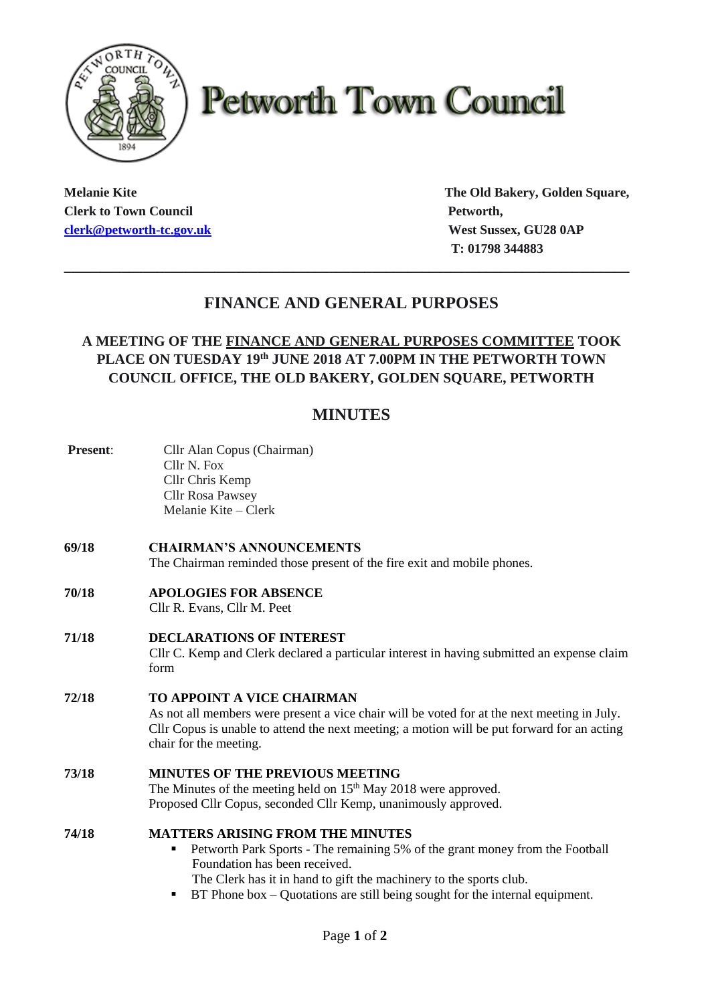

# **Petworth Town Council**

**Clerk to Town Council Petworth, Petworth, [clerk@petworth-tc.gov.uk](mailto:clerk@petworth-tc.gov.uk) West Sussex, GU28 0AP**

**Melanie Kite The Old Bakery, Golden Square, T: 01798 344883**

## **FINANCE AND GENERAL PURPOSES**

**\_\_\_\_\_\_\_\_\_\_\_\_\_\_\_\_\_\_\_\_\_\_\_\_\_\_\_\_\_\_\_\_\_\_\_\_\_\_\_\_\_\_\_\_\_\_\_\_\_\_\_\_\_\_\_\_\_\_\_\_\_\_\_\_\_\_\_\_\_\_\_\_\_\_\_\_\_\_\_**

## **A MEETING OF THE FINANCE AND GENERAL PURPOSES COMMITTEE TOOK PLACE ON TUESDAY 19th JUNE 2018 AT 7.00PM IN THE PETWORTH TOWN COUNCIL OFFICE, THE OLD BAKERY, GOLDEN SQUARE, PETWORTH**

## **MINUTES**

| Present: | Cllr Alan Copus (Chairman)<br>Cllr <sub>N. Fox</sub><br>Cllr Chris Kemp<br><b>Cllr Rosa Pawsey</b><br>Melanie Kite – Clerk                                                                                                                                                                                                 |
|----------|----------------------------------------------------------------------------------------------------------------------------------------------------------------------------------------------------------------------------------------------------------------------------------------------------------------------------|
| 69/18    | <b>CHAIRMAN'S ANNOUNCEMENTS</b><br>The Chairman reminded those present of the fire exit and mobile phones.                                                                                                                                                                                                                 |
| 70/18    | <b>APOLOGIES FOR ABSENCE</b><br>Cllr R. Evans, Cllr M. Peet                                                                                                                                                                                                                                                                |
| 71/18    | <b>DECLARATIONS OF INTEREST</b><br>Cllr C. Kemp and Clerk declared a particular interest in having submitted an expense claim<br>form                                                                                                                                                                                      |
| 72/18    | <b>TO APPOINT A VICE CHAIRMAN</b><br>As not all members were present a vice chair will be voted for at the next meeting in July.<br>Cllr Copus is unable to attend the next meeting; a motion will be put forward for an acting<br>chair for the meeting.                                                                  |
| 73/18    | <b>MINUTES OF THE PREVIOUS MEETING</b><br>The Minutes of the meeting held on 15 <sup>th</sup> May 2018 were approved.<br>Proposed Cllr Copus, seconded Cllr Kemp, unanimously approved.                                                                                                                                    |
| 74/18    | <b>MATTERS ARISING FROM THE MINUTES</b><br>Petworth Park Sports - The remaining 5% of the grant money from the Football<br>٠<br>Foundation has been received.<br>The Clerk has it in hand to gift the machinery to the sports club.<br>BT Phone box $-$ Quotations are still being sought for the internal equipment.<br>٠ |